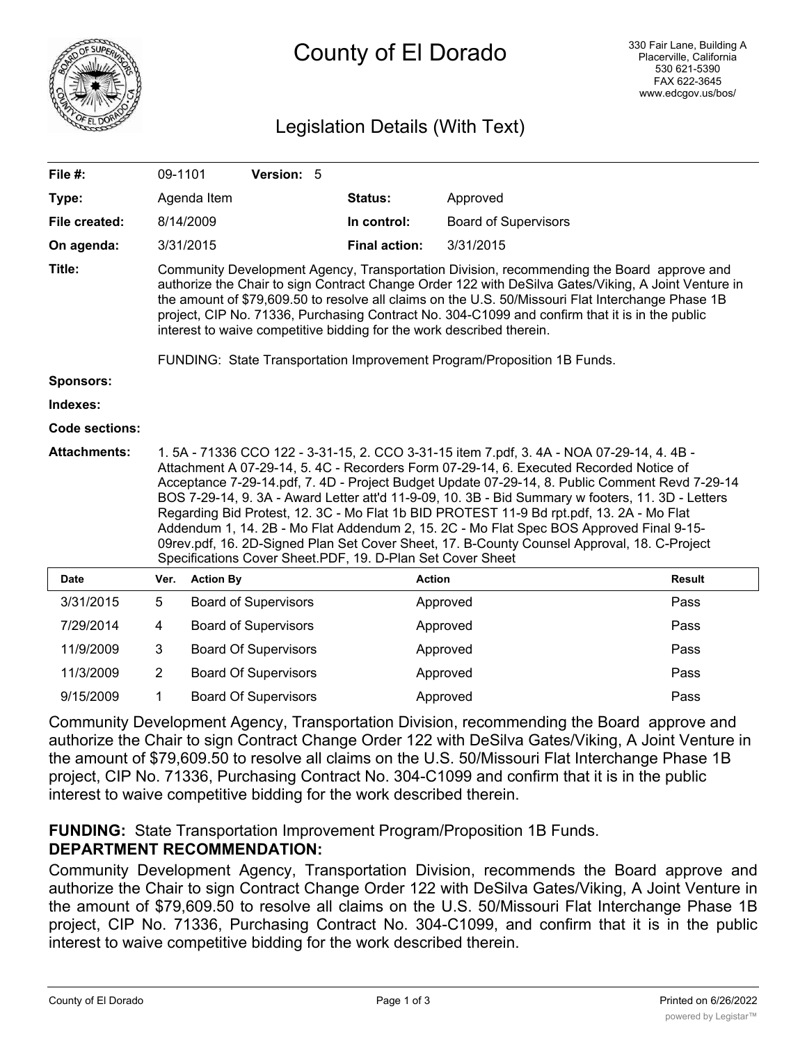

# County of El Dorado

# Legislation Details (With Text)

| File #:               | 09-1101                                                                                                                                                                                                                                                                                                                                                                                                                                                                                                                                                                                                                                                                                                                                     |                             |  | Version: 5 |  |                      |               |                             |  |
|-----------------------|---------------------------------------------------------------------------------------------------------------------------------------------------------------------------------------------------------------------------------------------------------------------------------------------------------------------------------------------------------------------------------------------------------------------------------------------------------------------------------------------------------------------------------------------------------------------------------------------------------------------------------------------------------------------------------------------------------------------------------------------|-----------------------------|--|------------|--|----------------------|---------------|-----------------------------|--|
| Type:                 |                                                                                                                                                                                                                                                                                                                                                                                                                                                                                                                                                                                                                                                                                                                                             | Agenda Item                 |  |            |  | <b>Status:</b>       | Approved      |                             |  |
| File created:         |                                                                                                                                                                                                                                                                                                                                                                                                                                                                                                                                                                                                                                                                                                                                             | 8/14/2009                   |  |            |  | In control:          |               | <b>Board of Supervisors</b> |  |
| On agenda:            |                                                                                                                                                                                                                                                                                                                                                                                                                                                                                                                                                                                                                                                                                                                                             | 3/31/2015                   |  |            |  | <b>Final action:</b> | 3/31/2015     |                             |  |
| Title:                | Community Development Agency, Transportation Division, recommending the Board approve and<br>authorize the Chair to sign Contract Change Order 122 with DeSilva Gates/Viking, A Joint Venture in<br>the amount of \$79,609.50 to resolve all claims on the U.S. 50/Missouri Flat Interchange Phase 1B<br>project, CIP No. 71336, Purchasing Contract No. 304-C1099 and confirm that it is in the public<br>interest to waive competitive bidding for the work described therein.                                                                                                                                                                                                                                                            |                             |  |            |  |                      |               |                             |  |
| Sponsors:             | FUNDING: State Transportation Improvement Program/Proposition 1B Funds.                                                                                                                                                                                                                                                                                                                                                                                                                                                                                                                                                                                                                                                                     |                             |  |            |  |                      |               |                             |  |
| Indexes:              |                                                                                                                                                                                                                                                                                                                                                                                                                                                                                                                                                                                                                                                                                                                                             |                             |  |            |  |                      |               |                             |  |
| <b>Code sections:</b> |                                                                                                                                                                                                                                                                                                                                                                                                                                                                                                                                                                                                                                                                                                                                             |                             |  |            |  |                      |               |                             |  |
|                       |                                                                                                                                                                                                                                                                                                                                                                                                                                                                                                                                                                                                                                                                                                                                             |                             |  |            |  |                      |               |                             |  |
| <b>Attachments:</b>   | 1.5A - 71336 CCO 122 - 3-31-15, 2. CCO 3-31-15 item 7.pdf, 3.4A - NOA 07-29-14, 4.4B -<br>Attachment A 07-29-14, 5. 4C - Recorders Form 07-29-14, 6. Executed Recorded Notice of<br>Acceptance 7-29-14.pdf, 7. 4D - Project Budget Update 07-29-14, 8. Public Comment Revd 7-29-14<br>BOS 7-29-14, 9. 3A - Award Letter att'd 11-9-09, 10. 3B - Bid Summary w footers, 11. 3D - Letters<br>Regarding Bid Protest, 12. 3C - Mo Flat 1b BID PROTEST 11-9 Bd rpt.pdf, 13. 2A - Mo Flat<br>Addendum 1, 14. 2B - Mo Flat Addendum 2, 15. 2C - Mo Flat Spec BOS Approved Final 9-15-<br>09rev.pdf, 16. 2D-Signed Plan Set Cover Sheet, 17. B-County Counsel Approval, 18. C-Project<br>Specifications Cover Sheet.PDF, 19. D-Plan Set Cover Sheet |                             |  |            |  |                      |               |                             |  |
| <b>Date</b>           | Ver.                                                                                                                                                                                                                                                                                                                                                                                                                                                                                                                                                                                                                                                                                                                                        | <b>Action By</b>            |  |            |  |                      | <b>Action</b> | <b>Result</b>               |  |
| 3/31/2015             | 5                                                                                                                                                                                                                                                                                                                                                                                                                                                                                                                                                                                                                                                                                                                                           | <b>Board of Supervisors</b> |  |            |  |                      | Approved      | Pass                        |  |
| 7/29/2014             | 4                                                                                                                                                                                                                                                                                                                                                                                                                                                                                                                                                                                                                                                                                                                                           | <b>Board of Supervisors</b> |  |            |  |                      | Approved      | Pass                        |  |
| 11/9/2009             | 3                                                                                                                                                                                                                                                                                                                                                                                                                                                                                                                                                                                                                                                                                                                                           | <b>Board Of Supervisors</b> |  |            |  |                      | Approved      | Pass                        |  |
| 11/3/2009             | $\overline{2}$                                                                                                                                                                                                                                                                                                                                                                                                                                                                                                                                                                                                                                                                                                                              | <b>Board Of Supervisors</b> |  |            |  |                      | Approved      | Pass                        |  |

Community Development Agency, Transportation Division, recommending the Board approve and authorize the Chair to sign Contract Change Order 122 with DeSilva Gates/Viking, A Joint Venture in the amount of \$79,609.50 to resolve all claims on the U.S. 50/Missouri Flat Interchange Phase 1B project, CIP No. 71336, Purchasing Contract No. 304-C1099 and confirm that it is in the public interest to waive competitive bidding for the work described therein.

9/15/2009 1 Board Of Supervisors Approved Approved Pass

#### **FUNDING:** State Transportation Improvement Program/Proposition 1B Funds. **DEPARTMENT RECOMMENDATION:**

Community Development Agency, Transportation Division, recommends the Board approve and authorize the Chair to sign Contract Change Order 122 with DeSilva Gates/Viking, A Joint Venture in the amount of \$79,609.50 to resolve all claims on the U.S. 50/Missouri Flat Interchange Phase 1B project, CIP No. 71336, Purchasing Contract No. 304-C1099, and confirm that it is in the public interest to waive competitive bidding for the work described therein.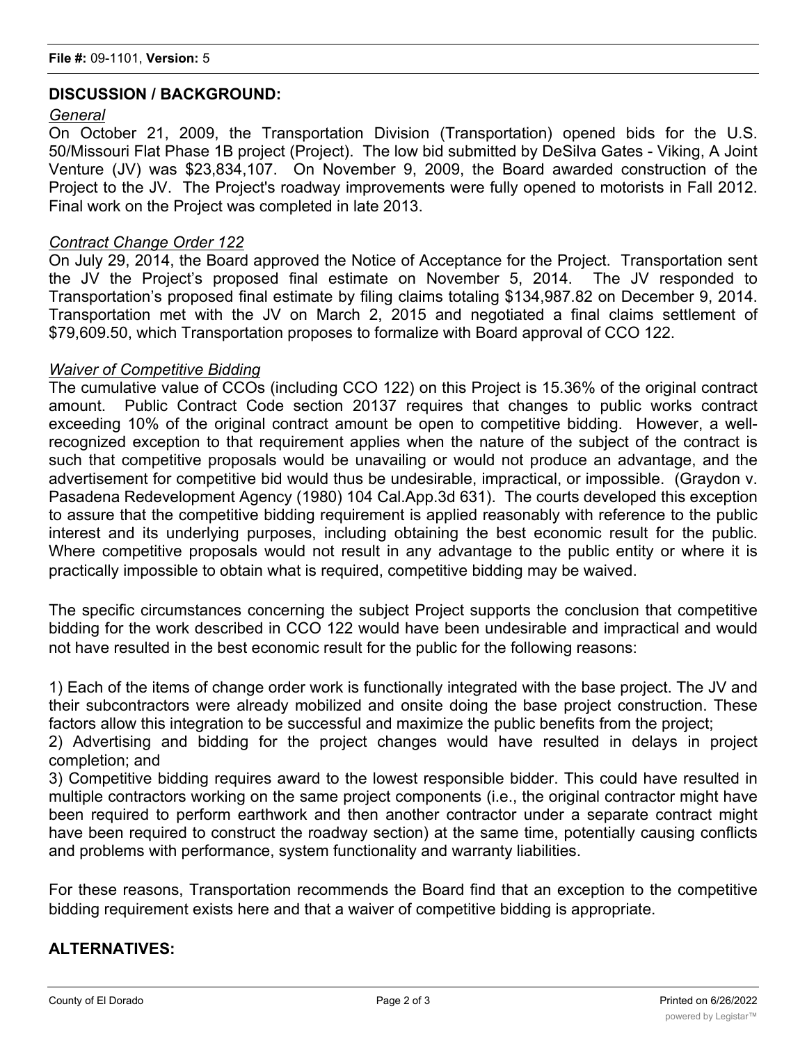#### **DISCUSSION / BACKGROUND:**

#### *General*

On October 21, 2009, the Transportation Division (Transportation) opened bids for the U.S. 50/Missouri Flat Phase 1B project (Project). The low bid submitted by DeSilva Gates - Viking, A Joint Venture (JV) was \$23,834,107. On November 9, 2009, the Board awarded construction of the Project to the JV. The Project's roadway improvements were fully opened to motorists in Fall 2012. Final work on the Project was completed in late 2013.

#### *Contract Change Order 122*

On July 29, 2014, the Board approved the Notice of Acceptance for the Project. Transportation sent the JV the Project's proposed final estimate on November 5, 2014. The JV responded to Transportation's proposed final estimate by filing claims totaling \$134,987.82 on December 9, 2014. Transportation met with the JV on March 2, 2015 and negotiated a final claims settlement of \$79,609.50, which Transportation proposes to formalize with Board approval of CCO 122.

#### *Waiver of Competitive Bidding*

The cumulative value of CCOs (including CCO 122) on this Project is 15.36% of the original contract amount. Public Contract Code section 20137 requires that changes to public works contract exceeding 10% of the original contract amount be open to competitive bidding. However, a wellrecognized exception to that requirement applies when the nature of the subject of the contract is such that competitive proposals would be unavailing or would not produce an advantage, and the advertisement for competitive bid would thus be undesirable, impractical, or impossible. (Graydon v. Pasadena Redevelopment Agency (1980) 104 Cal.App.3d 631). The courts developed this exception to assure that the competitive bidding requirement is applied reasonably with reference to the public interest and its underlying purposes, including obtaining the best economic result for the public. Where competitive proposals would not result in any advantage to the public entity or where it is practically impossible to obtain what is required, competitive bidding may be waived.

The specific circumstances concerning the subject Project supports the conclusion that competitive bidding for the work described in CCO 122 would have been undesirable and impractical and would not have resulted in the best economic result for the public for the following reasons:

1) Each of the items of change order work is functionally integrated with the base project. The JV and their subcontractors were already mobilized and onsite doing the base project construction. These factors allow this integration to be successful and maximize the public benefits from the project;

2) Advertising and bidding for the project changes would have resulted in delays in project completion; and

3) Competitive bidding requires award to the lowest responsible bidder. This could have resulted in multiple contractors working on the same project components (i.e., the original contractor might have been required to perform earthwork and then another contractor under a separate contract might have been required to construct the roadway section) at the same time, potentially causing conflicts and problems with performance, system functionality and warranty liabilities.

For these reasons, Transportation recommends the Board find that an exception to the competitive bidding requirement exists here and that a waiver of competitive bidding is appropriate.

#### **ALTERNATIVES:**